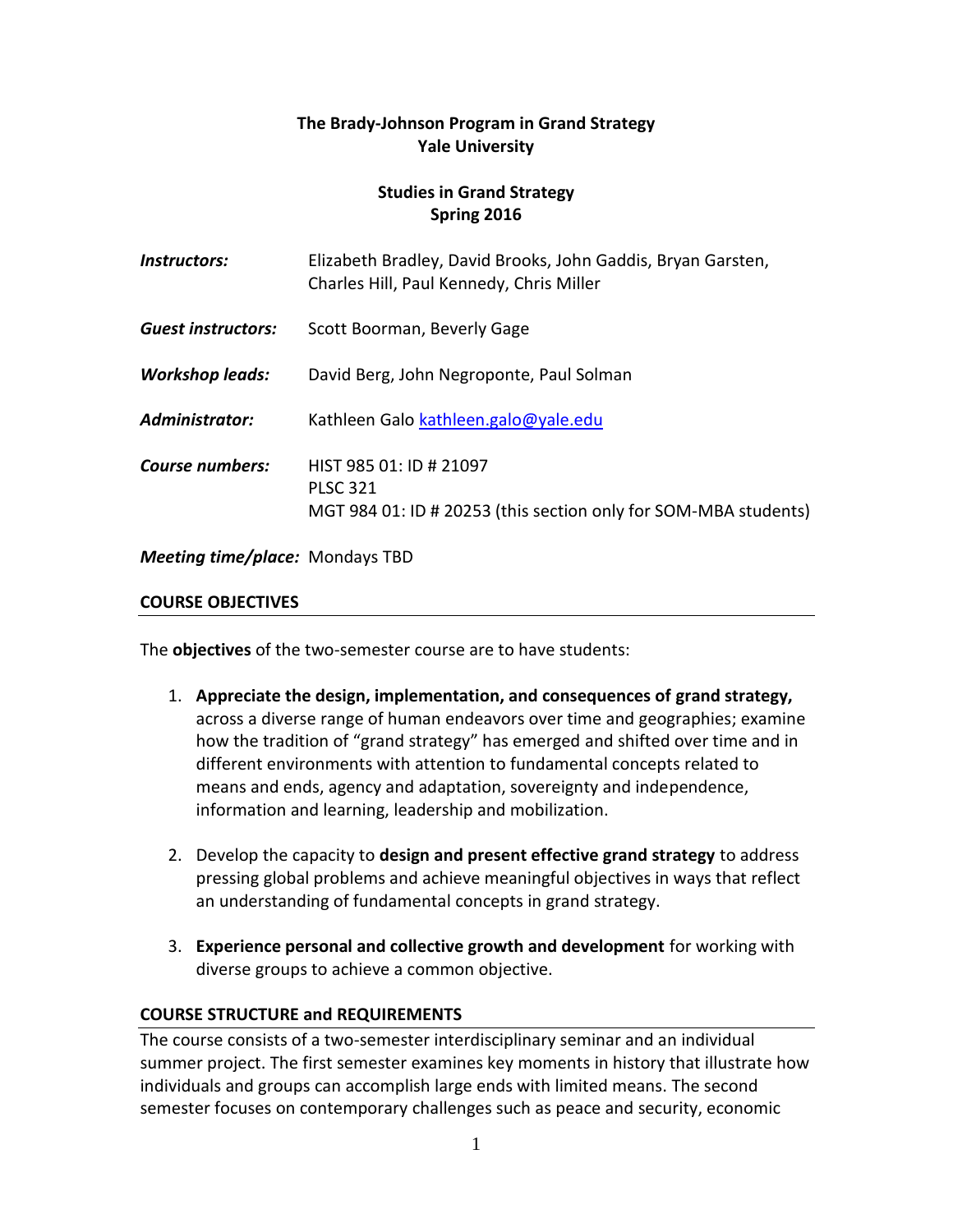# **The Brady-Johnson Program in Grand Strategy Yale University**

# **Studies in Grand Strategy Spring 2016**

| Instructors:                           | Elizabeth Bradley, David Brooks, John Gaddis, Bryan Garsten,<br>Charles Hill, Paul Kennedy, Chris Miller      |
|----------------------------------------|---------------------------------------------------------------------------------------------------------------|
| <b>Guest instructors:</b>              | Scott Boorman, Beverly Gage                                                                                   |
| <b>Workshop leads:</b>                 | David Berg, John Negroponte, Paul Solman                                                                      |
| Administrator:                         | Kathleen Galo kathleen.galo@yale.edu                                                                          |
| <b>Course numbers:</b>                 | HIST 985 01: ID # 21097<br><b>PLSC 321</b><br>MGT 984 01: ID # 20253 (this section only for SOM-MBA students) |
| <b>Meeting time/place:</b> Mondays TBD |                                                                                                               |

#### **COURSE OBJECTIVES**

The **objectives** of the two-semester course are to have students:

- 1. **Appreciate the design, implementation, and consequences of grand strategy,**  across a diverse range of human endeavors over time and geographies; examine how the tradition of "grand strategy" has emerged and shifted over time and in different environments with attention to fundamental concepts related to means and ends, agency and adaptation, sovereignty and independence, information and learning, leadership and mobilization.
- 2. Develop the capacity to **design and present effective grand strategy** to address pressing global problems and achieve meaningful objectives in ways that reflect an understanding of fundamental concepts in grand strategy.
- 3. **Experience personal and collective growth and development** for working with diverse groups to achieve a common objective.

### **COURSE STRUCTURE and REQUIREMENTS**

The course consists of a two-semester interdisciplinary seminar and an individual summer project. The first semester examines key moments in history that illustrate how individuals and groups can accomplish large ends with limited means. The second semester focuses on contemporary challenges such as peace and security, economic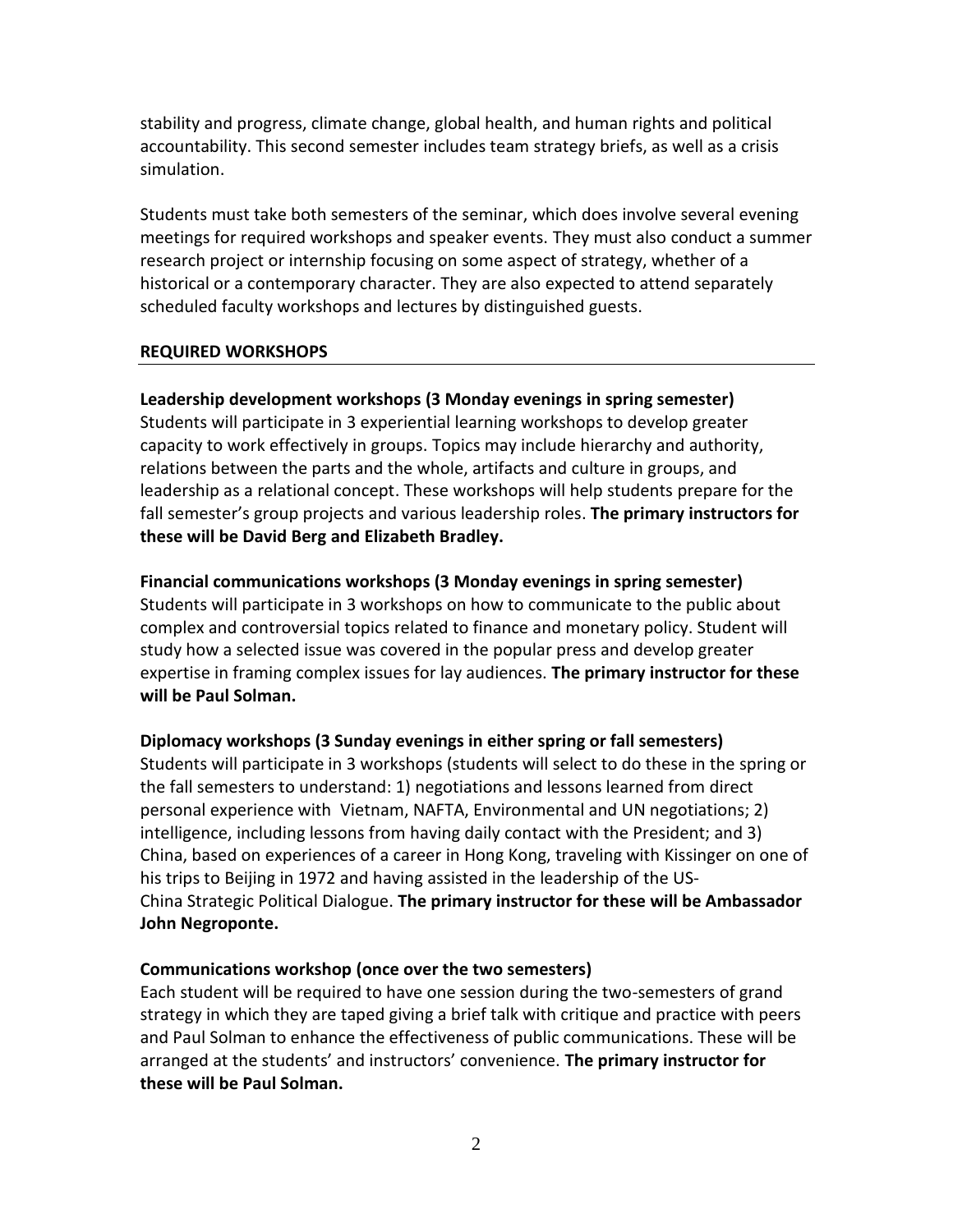stability and progress, climate change, global health, and human rights and political accountability. This second semester includes team strategy briefs, as well as a crisis simulation.

Students must take both semesters of the seminar, which does involve several evening meetings for required workshops and speaker events. They must also conduct a summer research project or internship focusing on some aspect of strategy, whether of a historical or a contemporary character. They are also expected to attend separately scheduled faculty workshops and lectures by distinguished guests.

### **REQUIRED WORKSHOPS**

**Leadership development workshops (3 Monday evenings in spring semester)** Students will participate in 3 experiential learning workshops to develop greater capacity to work effectively in groups. Topics may include hierarchy and authority, relations between the parts and the whole, artifacts and culture in groups, and leadership as a relational concept. These workshops will help students prepare for the fall semester's group projects and various leadership roles. **The primary instructors for these will be David Berg and Elizabeth Bradley.**

**Financial communications workshops (3 Monday evenings in spring semester)** Students will participate in 3 workshops on how to communicate to the public about complex and controversial topics related to finance and monetary policy. Student will study how a selected issue was covered in the popular press and develop greater expertise in framing complex issues for lay audiences. **The primary instructor for these will be Paul Solman.**

**Diplomacy workshops (3 Sunday evenings in either spring or fall semesters)** Students will participate in 3 workshops (students will select to do these in the spring or the fall semesters to understand: 1) negotiations and lessons learned from direct personal experience with Vietnam, NAFTA, Environmental and UN negotiations; 2) intelligence, including lessons from having daily contact with the President; and 3) China, based on experiences of a career in Hong Kong, traveling with Kissinger on one of his trips to Beijing in 1972 and having assisted in the leadership of the US-China Strategic Political Dialogue. **The primary instructor for these will be Ambassador John Negroponte.**

### **Communications workshop (once over the two semesters)**

Each student will be required to have one session during the two-semesters of grand strategy in which they are taped giving a brief talk with critique and practice with peers and Paul Solman to enhance the effectiveness of public communications. These will be arranged at the students' and instructors' convenience. **The primary instructor for these will be Paul Solman.**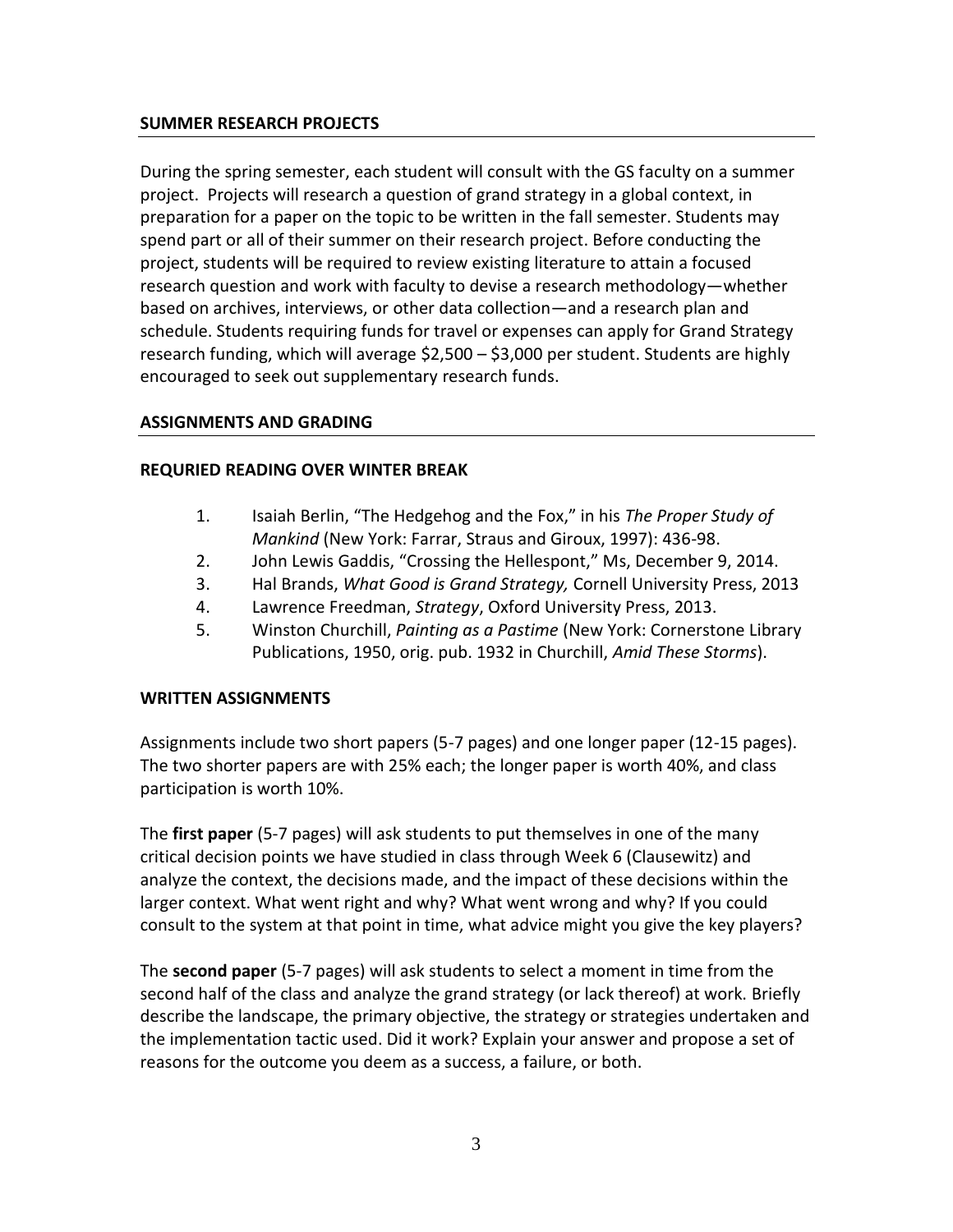## **SUMMER RESEARCH PROJECTS**

During the spring semester, each student will consult with the GS faculty on a summer project. Projects will research a question of grand strategy in a global context, in preparation for a paper on the topic to be written in the fall semester. Students may spend part or all of their summer on their research project. Before conducting the project, students will be required to review existing literature to attain a focused research question and work with faculty to devise a research methodology—whether based on archives, interviews, or other data collection—and a research plan and schedule. Students requiring funds for travel or expenses can apply for Grand Strategy research funding, which will average \$2,500 – \$3,000 per student. Students are highly encouraged to seek out supplementary research funds.

### **ASSIGNMENTS AND GRADING**

## **REQURIED READING OVER WINTER BREAK**

- 1. Isaiah Berlin, "The Hedgehog and the Fox," in his *The Proper Study of Mankind* (New York: Farrar, Straus and Giroux, 1997): 436-98.
- 2. John Lewis Gaddis, "Crossing the Hellespont," Ms, December 9, 2014.
- 3. Hal Brands, *What Good is Grand Strategy,* Cornell University Press, 2013
- 4. Lawrence Freedman, *Strategy*, Oxford University Press, 2013.
- 5. Winston Churchill, *Painting as a Pastime* (New York: Cornerstone Library Publications, 1950, orig. pub. 1932 in Churchill, *Amid These Storms*).

### **WRITTEN ASSIGNMENTS**

Assignments include two short papers (5-7 pages) and one longer paper (12-15 pages). The two shorter papers are with 25% each; the longer paper is worth 40%, and class participation is worth 10%.

The **first paper** (5-7 pages) will ask students to put themselves in one of the many critical decision points we have studied in class through Week 6 (Clausewitz) and analyze the context, the decisions made, and the impact of these decisions within the larger context. What went right and why? What went wrong and why? If you could consult to the system at that point in time, what advice might you give the key players?

The **second paper** (5-7 pages) will ask students to select a moment in time from the second half of the class and analyze the grand strategy (or lack thereof) at work. Briefly describe the landscape, the primary objective, the strategy or strategies undertaken and the implementation tactic used. Did it work? Explain your answer and propose a set of reasons for the outcome you deem as a success, a failure, or both.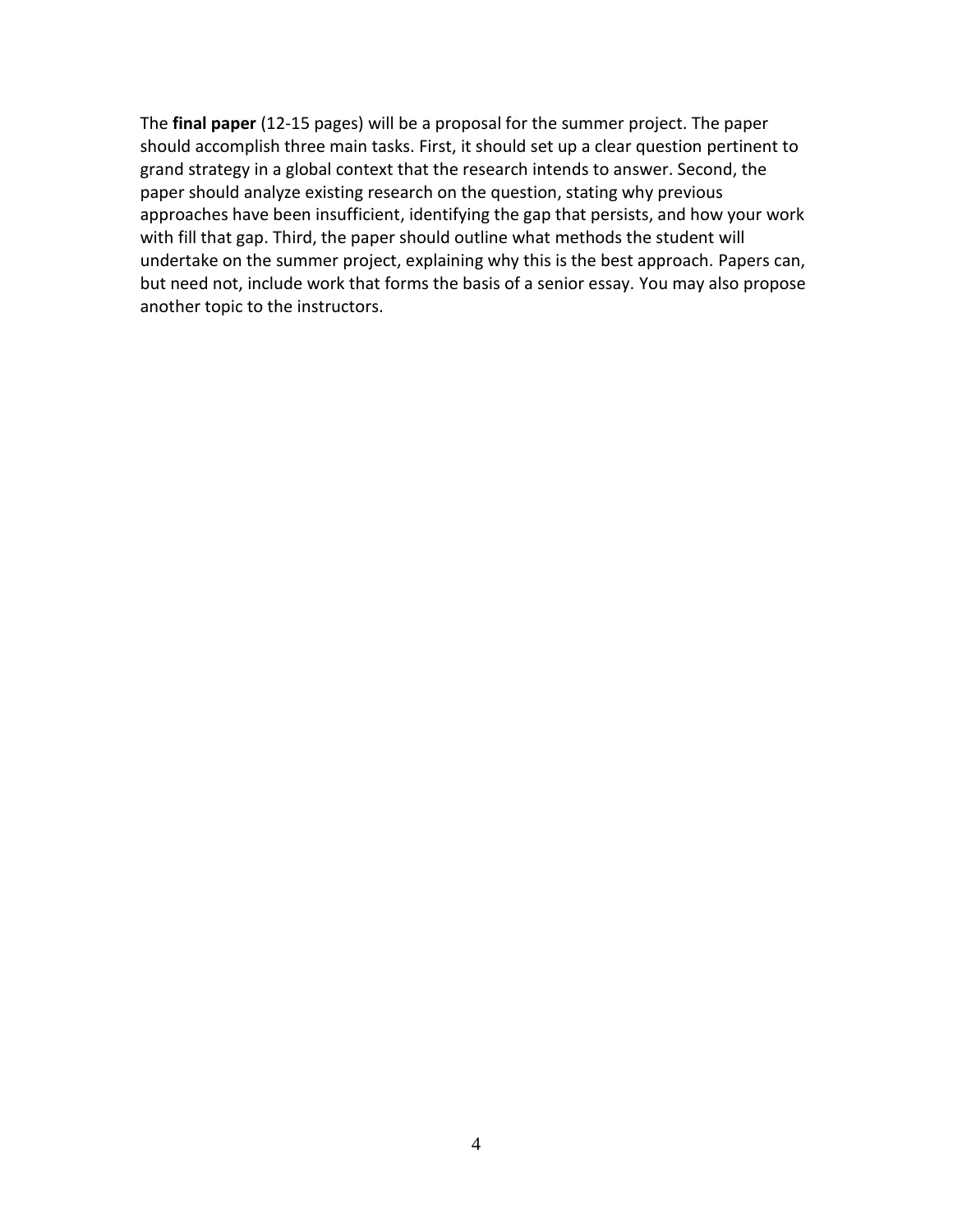The **final paper** (12-15 pages) will be a proposal for the summer project. The paper should accomplish three main tasks. First, it should set up a clear question pertinent to grand strategy in a global context that the research intends to answer. Second, the paper should analyze existing research on the question, stating why previous approaches have been insufficient, identifying the gap that persists, and how your work with fill that gap. Third, the paper should outline what methods the student will undertake on the summer project, explaining why this is the best approach. Papers can, but need not, include work that forms the basis of a senior essay. You may also propose another topic to the instructors.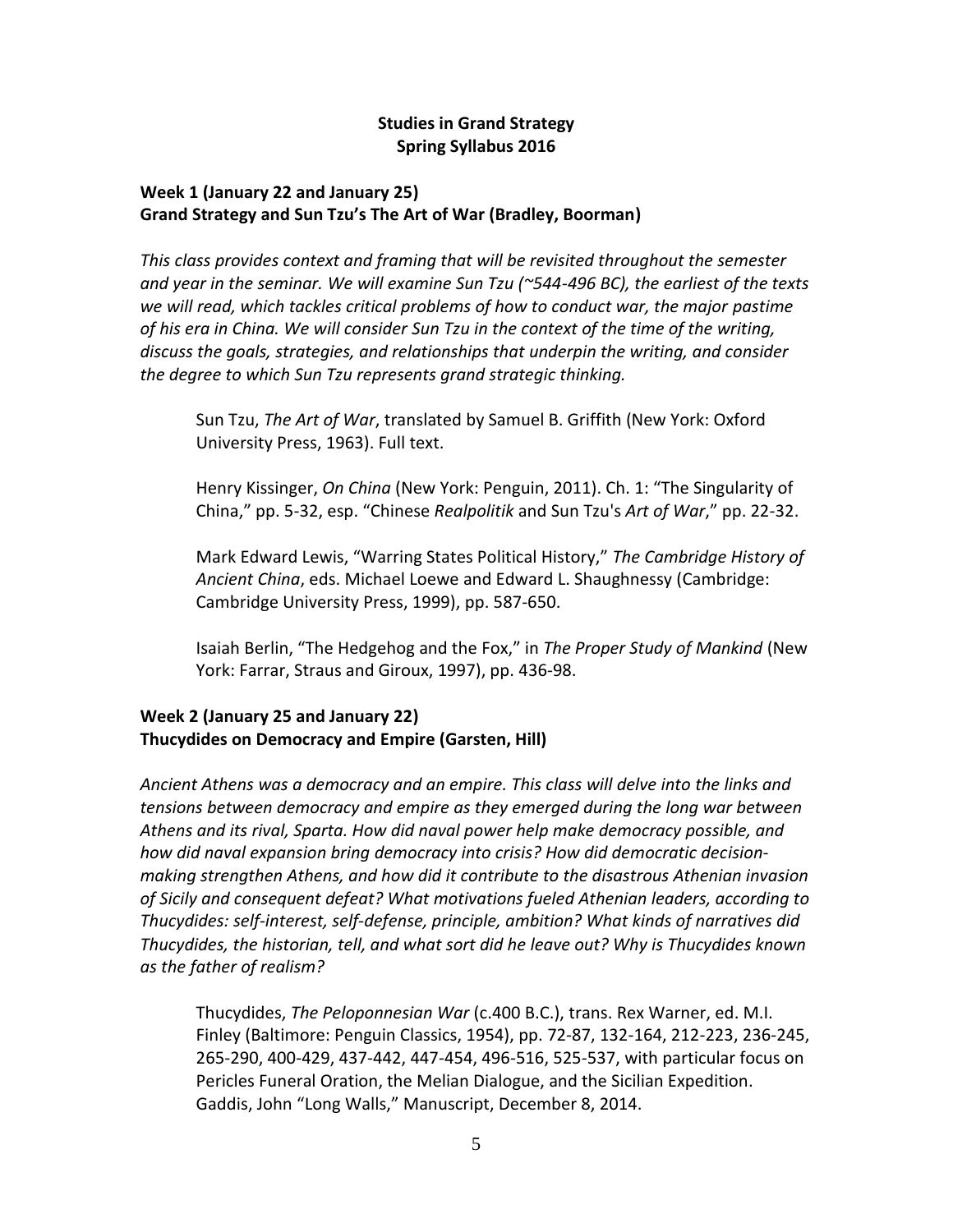## **Studies in Grand Strategy Spring Syllabus 2016**

# **Week 1 (January 22 and January 25) Grand Strategy and Sun Tzu's The Art of War (Bradley, Boorman)**

*This class provides context and framing that will be revisited throughout the semester and year in the seminar. We will examine Sun Tzu (~544-496 BC), the earliest of the texts we will read, which tackles critical problems of how to conduct war, the major pastime of his era in China. We will consider Sun Tzu in the context of the time of the writing, discuss the goals, strategies, and relationships that underpin the writing, and consider the degree to which Sun Tzu represents grand strategic thinking.* 

Sun Tzu, *The Art of War*, translated by Samuel B. Griffith (New York: Oxford University Press, 1963). Full text.

Henry Kissinger, *On China* (New York: Penguin, 2011). Ch. 1: "The Singularity of China," pp. 5-32, esp. "Chinese *Realpolitik* and Sun Tzu's *Art of War*," pp. 22-32.

Mark Edward Lewis, "Warring States Political History," *The Cambridge History of Ancient China*, eds. Michael Loewe and Edward L. Shaughnessy (Cambridge: Cambridge University Press, 1999), pp. 587-650.

Isaiah Berlin, "The Hedgehog and the Fox," in *The Proper Study of Mankind* (New York: Farrar, Straus and Giroux, 1997), pp. 436-98.

# **Week 2 (January 25 and January 22) Thucydides on Democracy and Empire (Garsten, Hill)**

*Ancient Athens was a democracy and an empire. This class will delve into the links and tensions between democracy and empire as they emerged during the long war between Athens and its rival, Sparta. How did naval power help make democracy possible, and how did naval expansion bring democracy into crisis? How did democratic decisionmaking strengthen Athens, and how did it contribute to the disastrous Athenian invasion of Sicily and consequent defeat? What motivations fueled Athenian leaders, according to Thucydides: self-interest, self-defense, principle, ambition? What kinds of narratives did Thucydides, the historian, tell, and what sort did he leave out? Why is Thucydides known as the father of realism?*

Thucydides, *The Peloponnesian War* (c.400 B.C.), trans. Rex Warner, ed. M.I. Finley (Baltimore: Penguin Classics, 1954), pp. 72-87, 132-164, 212-223, 236-245, 265-290, 400-429, 437-442, 447-454, 496-516, 525-537, with particular focus on Pericles Funeral Oration, the Melian Dialogue, and the Sicilian Expedition. Gaddis, John "Long Walls," Manuscript, December 8, 2014.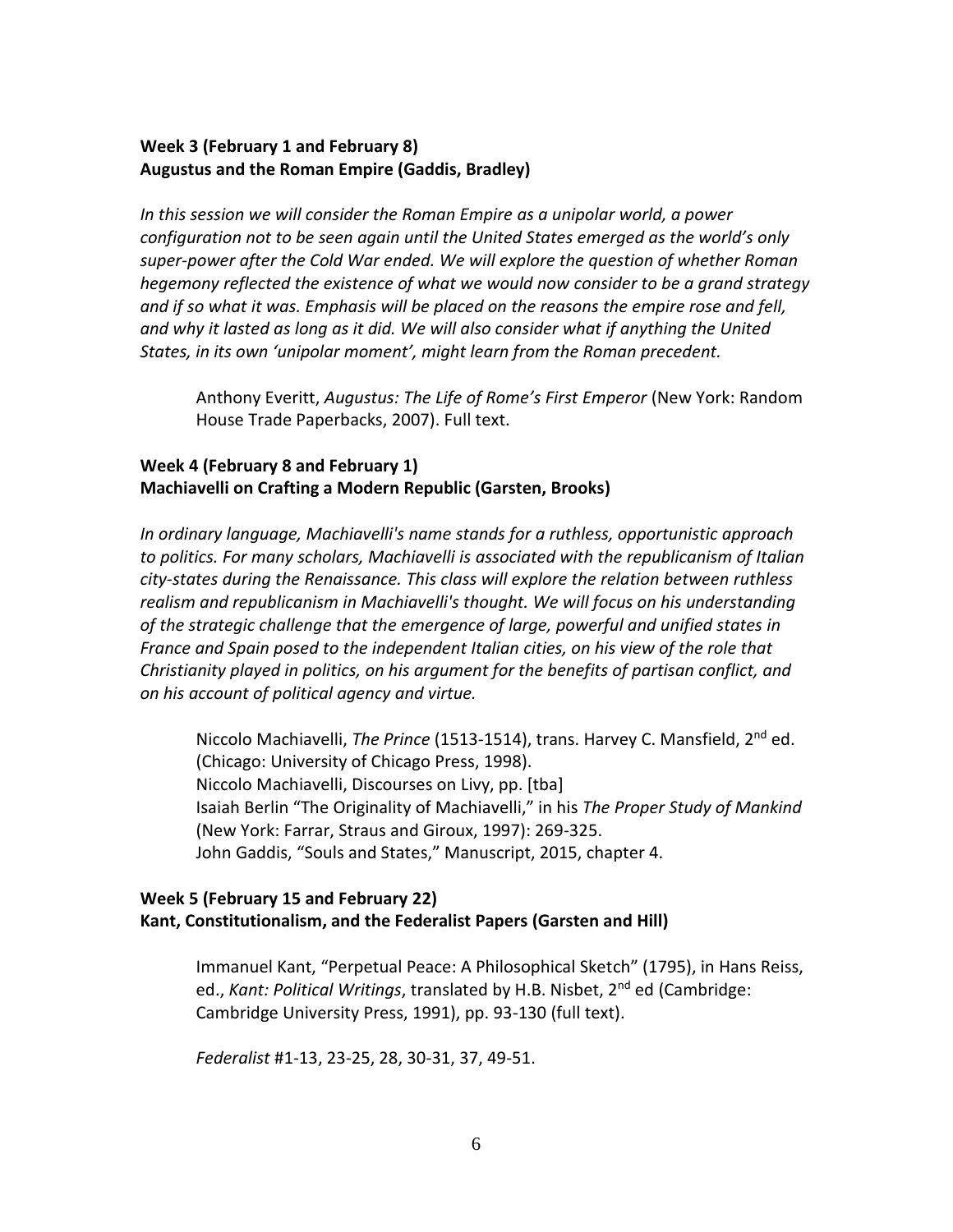### **Week 3 (February 1 and February 8) Augustus and the Roman Empire (Gaddis, Bradley)**

*In this session we will consider the Roman Empire as a unipolar world, a power configuration not to be seen again until the United States emerged as the world's only super-power after the Cold War ended. We will explore the question of whether Roman hegemony reflected the existence of what we would now consider to be a grand strategy and if so what it was. Emphasis will be placed on the reasons the empire rose and fell, and why it lasted as long as it did. We will also consider what if anything the United States, in its own 'unipolar moment', might learn from the Roman precedent.*

Anthony Everitt, *Augustus: The Life of Rome's First Emperor* (New York: Random House Trade Paperbacks, 2007). Full text.

## **Week 4 (February 8 and February 1) Machiavelli on Crafting a Modern Republic (Garsten, Brooks)**

*In ordinary language, Machiavelli's name stands for a ruthless, opportunistic approach to politics. For many scholars, Machiavelli is associated with the republicanism of Italian city-states during the Renaissance. This class will explore the relation between ruthless realism and republicanism in Machiavelli's thought. We will focus on his understanding of the strategic challenge that the emergence of large, powerful and unified states in France and Spain posed to the independent Italian cities, on his view of the role that Christianity played in politics, on his argument for the benefits of partisan conflict, and on his account of political agency and virtue.*

Niccolo Machiavelli, *The Prince* (1513-1514), trans. Harvey C. Mansfield, 2nd ed. (Chicago: University of Chicago Press, 1998). Niccolo Machiavelli, Discourses on Livy, pp. [tba] Isaiah Berlin "The Originality of Machiavelli," in his *The Proper Study of Mankind* (New York: Farrar, Straus and Giroux, 1997): 269-325. John Gaddis, "Souls and States," Manuscript, 2015, chapter 4.

## **Week 5 (February 15 and February 22) Kant, Constitutionalism, and the Federalist Papers (Garsten and Hill)**

Immanuel Kant, "Perpetual Peace: A Philosophical Sketch" (1795), in Hans Reiss, ed., *Kant: Political Writings*, translated by H.B. Nisbet, 2nd ed (Cambridge: Cambridge University Press, 1991), pp. 93-130 (full text).

*Federalist* #1-13, 23-25, 28, 30-31, 37, 49-51.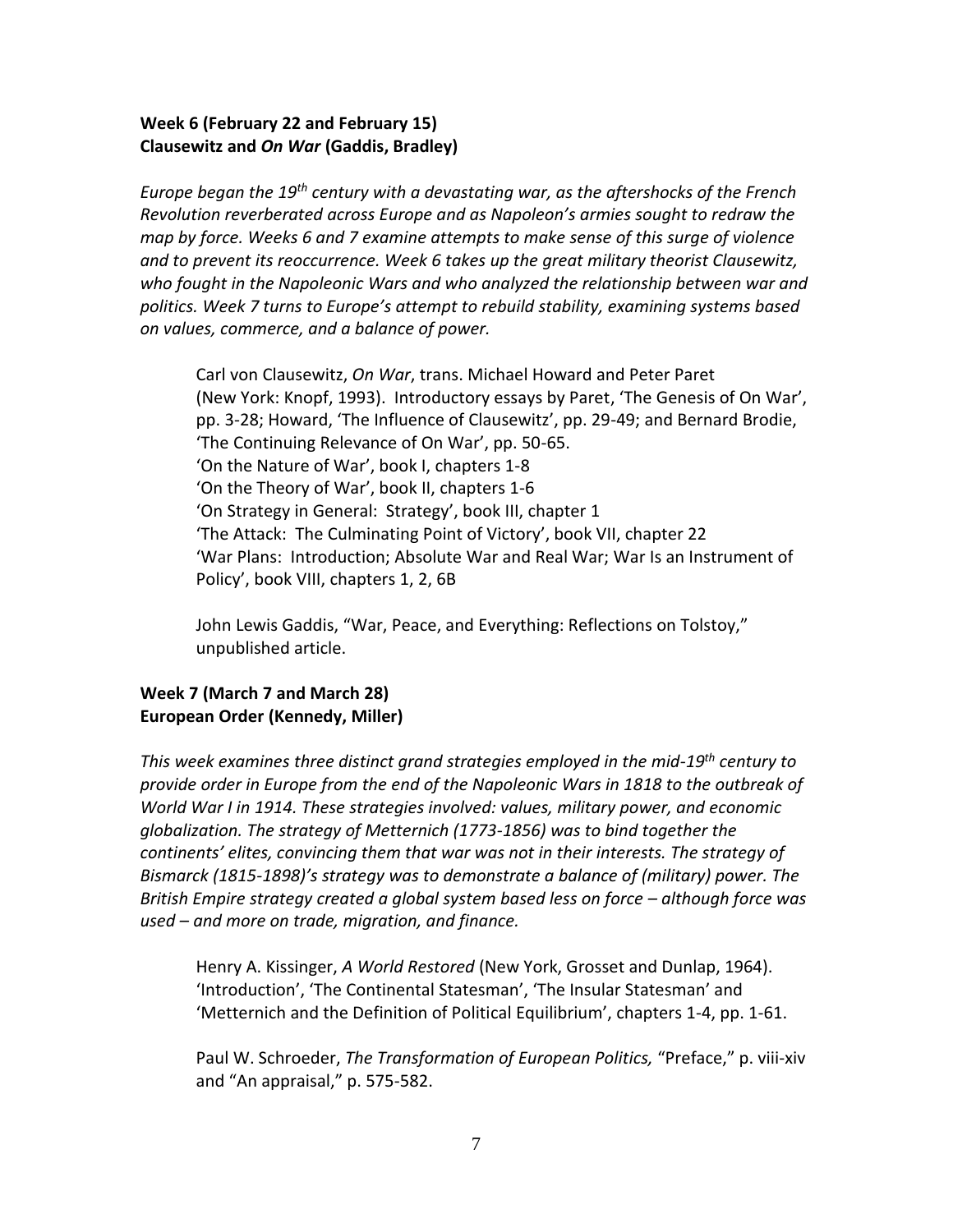# **Week 6 (February 22 and February 15) Clausewitz and** *On War* **(Gaddis, Bradley)**

*Europe began the 19th century with a devastating war, as the aftershocks of the French Revolution reverberated across Europe and as Napoleon's armies sought to redraw the map by force. Weeks 6 and 7 examine attempts to make sense of this surge of violence and to prevent its reoccurrence. Week 6 takes up the great military theorist Clausewitz, who fought in the Napoleonic Wars and who analyzed the relationship between war and politics. Week 7 turns to Europe's attempt to rebuild stability, examining systems based on values, commerce, and a balance of power.*

Carl von Clausewitz, *On War*, trans. Michael Howard and Peter Paret (New York: Knopf, 1993). Introductory essays by Paret, 'The Genesis of On War', pp. 3-28; Howard, 'The Influence of Clausewitz', pp. 29-49; and Bernard Brodie, 'The Continuing Relevance of On War', pp. 50-65. 'On the Nature of War', book I, chapters 1-8 'On the Theory of War', book II, chapters 1-6 'On Strategy in General: Strategy', book III, chapter 1 'The Attack: The Culminating Point of Victory', book VII, chapter 22 'War Plans: Introduction; Absolute War and Real War; War Is an Instrument of Policy', book VIII, chapters 1, 2, 6B

John Lewis Gaddis, "War, Peace, and Everything: Reflections on Tolstoy," unpublished article.

## **Week 7 (March 7 and March 28) European Order (Kennedy, Miller)**

*This week examines three distinct grand strategies employed in the mid-19th century to provide order in Europe from the end of the Napoleonic Wars in 1818 to the outbreak of World War I in 1914. These strategies involved: values, military power, and economic globalization. The strategy of Metternich (1773-1856) was to bind together the continents' elites, convincing them that war was not in their interests. The strategy of Bismarck (1815-1898)'s strategy was to demonstrate a balance of (military) power. The British Empire strategy created a global system based less on force – although force was used – and more on trade, migration, and finance.* 

Henry A. Kissinger, *A World Restored* (New York, Grosset and Dunlap, 1964). 'Introduction', 'The Continental Statesman', 'The Insular Statesman' and 'Metternich and the Definition of Political Equilibrium', chapters 1-4, pp. 1-61.

Paul W. Schroeder, *The Transformation of European Politics,* "Preface," p. viii-xiv and "An appraisal," p. 575-582.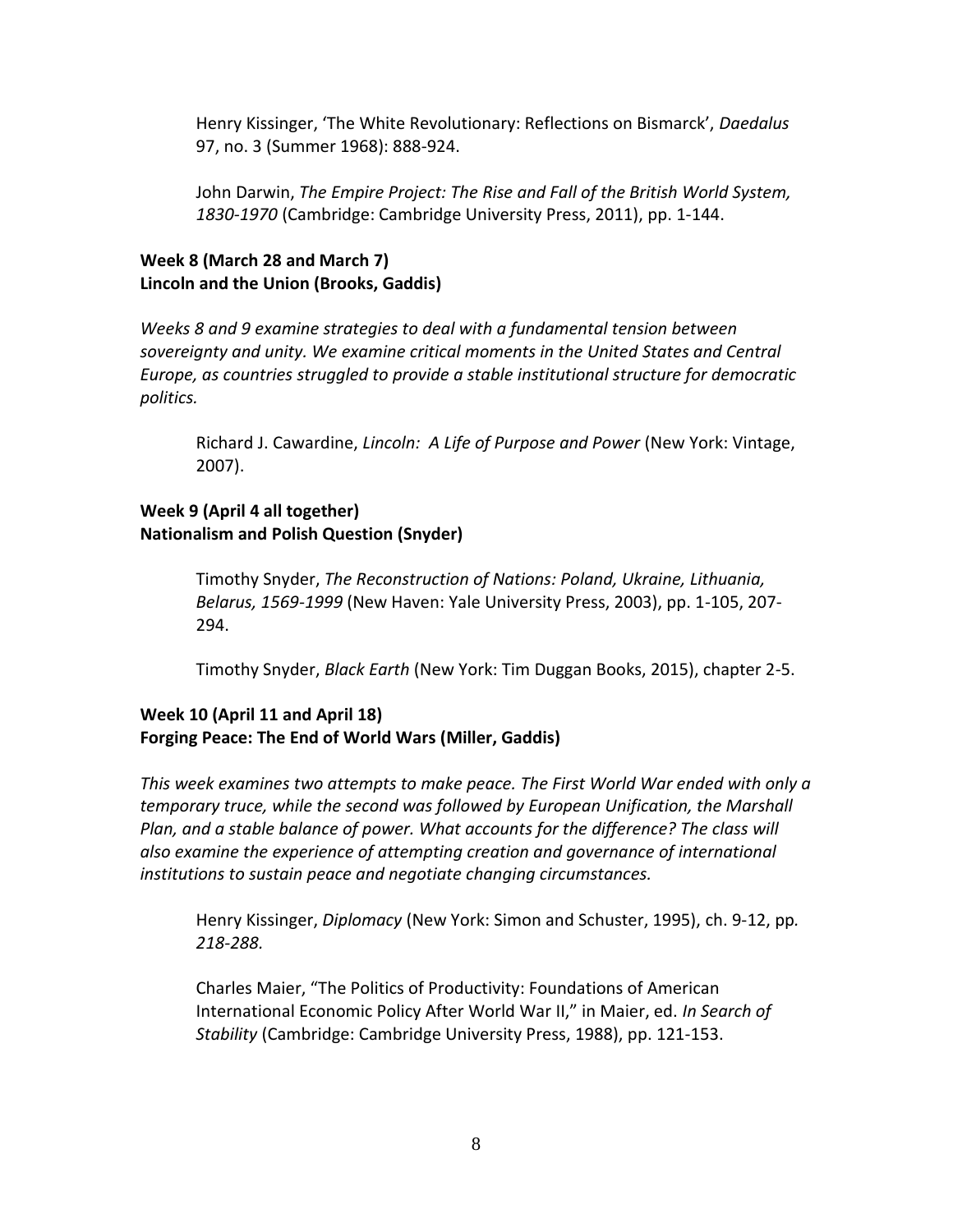Henry Kissinger, 'The White Revolutionary: Reflections on Bismarck', *Daedalus* 97, no. 3 (Summer 1968): 888-924.

John Darwin, *The Empire Project: The Rise and Fall of the British World System, 1830-1970* (Cambridge: Cambridge University Press, 2011), pp. 1-144.

# **Week 8 (March 28 and March 7) Lincoln and the Union (Brooks, Gaddis)**

*Weeks 8 and 9 examine strategies to deal with a fundamental tension between sovereignty and unity. We examine critical moments in the United States and Central Europe, as countries struggled to provide a stable institutional structure for democratic politics.*

Richard J. Cawardine, *Lincoln: A Life of Purpose and Power* (New York: Vintage, 2007).

# **Week 9 (April 4 all together) Nationalism and Polish Question (Snyder)**

Timothy Snyder, *The Reconstruction of Nations: Poland, Ukraine, Lithuania, Belarus, 1569-1999* (New Haven: Yale University Press, 2003), pp. 1-105, 207- 294.

Timothy Snyder, *Black Earth* (New York: Tim Duggan Books, 2015), chapter 2-5.

# **Week 10 (April 11 and April 18) Forging Peace: The End of World Wars (Miller, Gaddis)**

*This week examines two attempts to make peace. The First World War ended with only a temporary truce, while the second was followed by European Unification, the Marshall*  Plan, and a stable balance of power. What accounts for the difference? The class will *also examine the experience of attempting creation and governance of international institutions to sustain peace and negotiate changing circumstances.* 

Henry Kissinger, *Diplomacy* (New York: Simon and Schuster, 1995), ch. 9-12, pp*. 218-288.*

Charles Maier, "The Politics of Productivity: Foundations of American International Economic Policy After World War II," in Maier, ed. *In Search of Stability* (Cambridge: Cambridge University Press, 1988), pp. 121-153.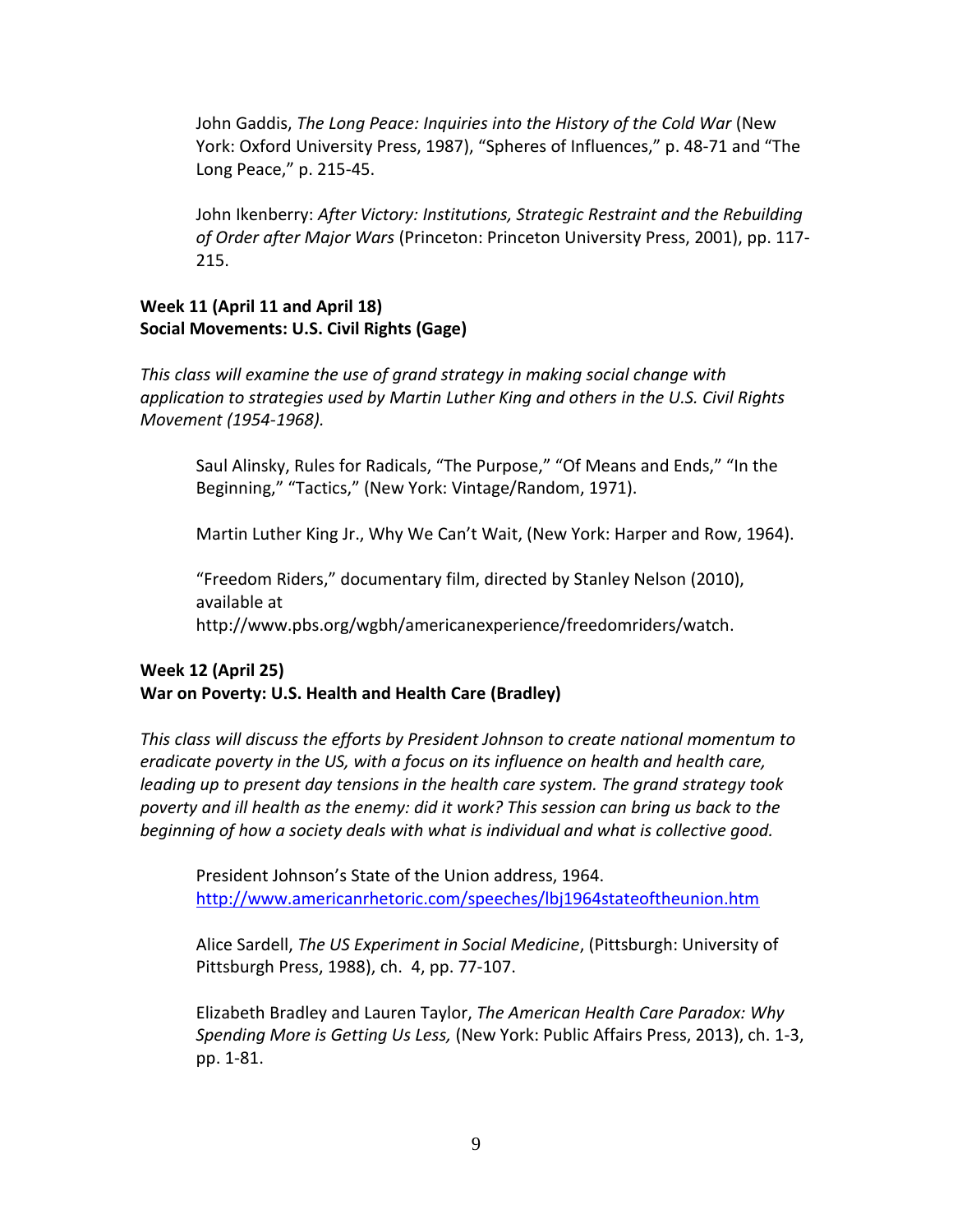John Gaddis, *The Long Peace: Inquiries into the History of the Cold War* (New York: Oxford University Press, 1987), "Spheres of Influences," p. 48-71 and "The Long Peace," p. 215-45.

John Ikenberry: *After Victory: Institutions, Strategic Restraint and the Rebuilding of Order after Major Wars* (Princeton: Princeton University Press, 2001), pp. 117- 215.

## **Week 11 (April 11 and April 18) Social Movements: U.S. Civil Rights (Gage)**

*This class will examine the use of grand strategy in making social change with application to strategies used by Martin Luther King and others in the U.S. Civil Rights Movement (1954-1968).*

Saul Alinsky, Rules for Radicals, "The Purpose," "Of Means and Ends," "In the Beginning," "Tactics," (New York: Vintage/Random, 1971).

Martin Luther King Jr., Why We Can't Wait, (New York: Harper and Row, 1964).

"Freedom Riders," documentary film, directed by Stanley Nelson (2010), available at http://www.pbs.org/wgbh/americanexperience/freedomriders/watch.

# **Week 12 (April 25) War on Poverty: U.S. Health and Health Care (Bradley)**

*This class will discuss the efforts by President Johnson to create national momentum to eradicate poverty in the US, with a focus on its influence on health and health care, leading up to present day tensions in the health care system. The grand strategy took poverty and ill health as the enemy: did it work? This session can bring us back to the beginning of how a society deals with what is individual and what is collective good.*

President Johnson's State of the Union address, 1964. <http://www.americanrhetoric.com/speeches/lbj1964stateoftheunion.htm>

Alice Sardell, *The US Experiment in Social Medicine*, (Pittsburgh: University of Pittsburgh Press, 1988), ch. 4, pp. 77-107.

Elizabeth Bradley and Lauren Taylor, *The American Health Care Paradox: Why Spending More is Getting Us Less,* (New York: Public Affairs Press, 2013), ch. 1-3, pp. 1-81.